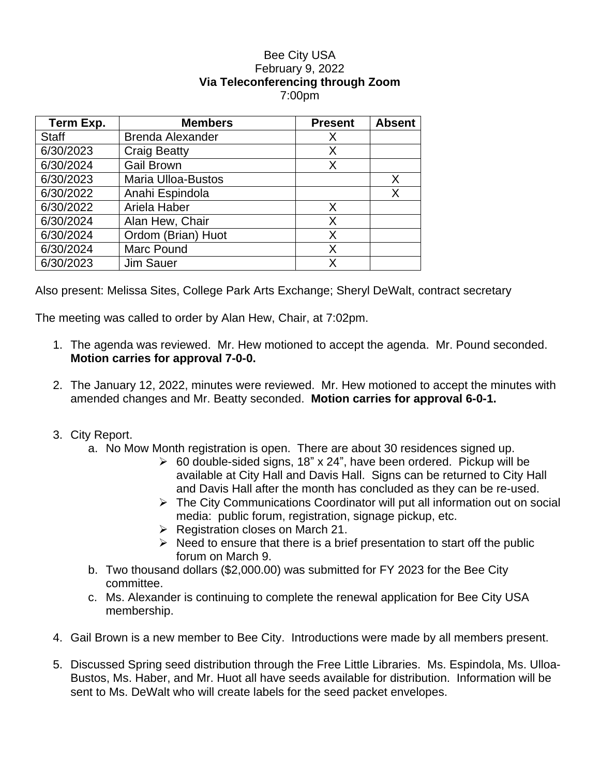## Bee City USA February 9, 2022 **Via Teleconferencing through Zoom** 7:00pm

| Term Exp.    | <b>Members</b>            | <b>Present</b> | <b>Absent</b> |
|--------------|---------------------------|----------------|---------------|
| <b>Staff</b> | <b>Brenda Alexander</b>   | X              |               |
| 6/30/2023    | <b>Craig Beatty</b>       | X              |               |
| 6/30/2024    | <b>Gail Brown</b>         | X              |               |
| 6/30/2023    | <b>Maria Ulloa-Bustos</b> |                | X             |
| 6/30/2022    | Anahi Espindola           |                | X             |
| 6/30/2022    | Ariela Haber              | X              |               |
| 6/30/2024    | Alan Hew, Chair           | X              |               |
| 6/30/2024    | Ordom (Brian) Huot        | X              |               |
| 6/30/2024    | <b>Marc Pound</b>         | X              |               |
| 6/30/2023    | <b>Jim Sauer</b>          | x              |               |

Also present: Melissa Sites, College Park Arts Exchange; Sheryl DeWalt, contract secretary

The meeting was called to order by Alan Hew, Chair, at 7:02pm.

- 1. The agenda was reviewed. Mr. Hew motioned to accept the agenda. Mr. Pound seconded. **Motion carries for approval 7-0-0.**
- 2. The January 12, 2022, minutes were reviewed. Mr. Hew motioned to accept the minutes with amended changes and Mr. Beatty seconded. **Motion carries for approval 6-0-1.**
- 3. City Report.
	- a. No Mow Month registration is open. There are about 30 residences signed up.
		- $\geq$  60 double-sided signs, 18" x 24", have been ordered. Pickup will be available at City Hall and Davis Hall. Signs can be returned to City Hall and Davis Hall after the month has concluded as they can be re-used.
		- The City Communications Coordinator will put all information out on social media: public forum, registration, signage pickup, etc.
		- $\triangleright$  Registration closes on March 21.
		- $\triangleright$  Need to ensure that there is a brief presentation to start off the public forum on March 9.
	- b. Two thousand dollars (\$2,000.00) was submitted for FY 2023 for the Bee City committee.
	- c. Ms. Alexander is continuing to complete the renewal application for Bee City USA membership.
- 4. Gail Brown is a new member to Bee City. Introductions were made by all members present.
- 5. Discussed Spring seed distribution through the Free Little Libraries. Ms. Espindola, Ms. Ulloa-Bustos, Ms. Haber, and Mr. Huot all have seeds available for distribution. Information will be sent to Ms. DeWalt who will create labels for the seed packet envelopes.